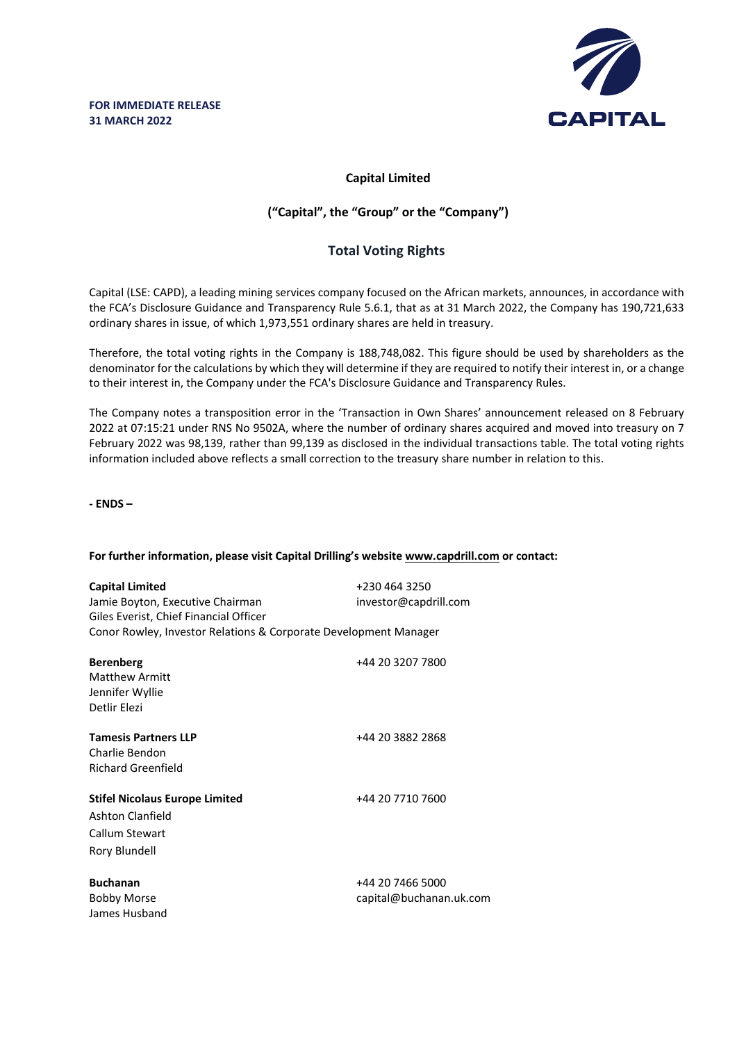

## **Capital Limited**

## **("Capital", the "Group" or the "Company")**

# **Total Voting Rights**

Capital (LSE: CAPD), a leading mining services company focused on the African markets, announces, in accordance with the FCA's Disclosure Guidance and Transparency Rule 5.6.1, that as at 31 March 2022, the Company has 190,721,633 ordinary shares in issue, of which 1,973,551 ordinary shares are held in treasury.

Therefore, the total voting rights in the Company is 188,748,082. This figure should be used by shareholders as the denominator for the calculations by which they will determine if they are required to notify their interest in, or a change to their interest in, the Company under the FCA's Disclosure Guidance and Transparency Rules.

The Company notes a transposition error in the 'Transaction in Own Shares' announcement released on 8 February 2022 at 07:15:21 under RNS No 9502A, where the number of ordinary shares acquired and moved into treasury on 7 February 2022 was 98,139, rather than 99,139 as disclosed in the individual transactions table. The total voting rights information included above reflects a small correction to the treasury share number in relation to this.

**- ENDS –**

### **For further information, please visit Capital Drilling's website www.capdrill.com or contact:**

| <b>Capital Limited</b><br>Jamie Boyton, Executive Chairman<br>Giles Everist, Chief Financial Officer<br>Conor Rowley, Investor Relations & Corporate Development Manager | +230 464 3250<br>investor@capdrill.com      |
|--------------------------------------------------------------------------------------------------------------------------------------------------------------------------|---------------------------------------------|
| <b>Berenberg</b><br>Matthew Armitt<br>Jennifer Wyllie<br>Detlir Elezi                                                                                                    | +44 20 3207 7800                            |
| <b>Tamesis Partners LLP</b><br>Charlie Bendon<br><b>Richard Greenfield</b>                                                                                               | +44 20 3882 2868                            |
| <b>Stifel Nicolaus Europe Limited</b><br>Ashton Clanfield<br>Callum Stewart<br>Rory Blundell                                                                             | +44 20 7710 7600                            |
| <b>Buchanan</b><br><b>Bobby Morse</b><br>James Husband                                                                                                                   | +44 20 7466 5000<br>capital@buchanan.uk.com |